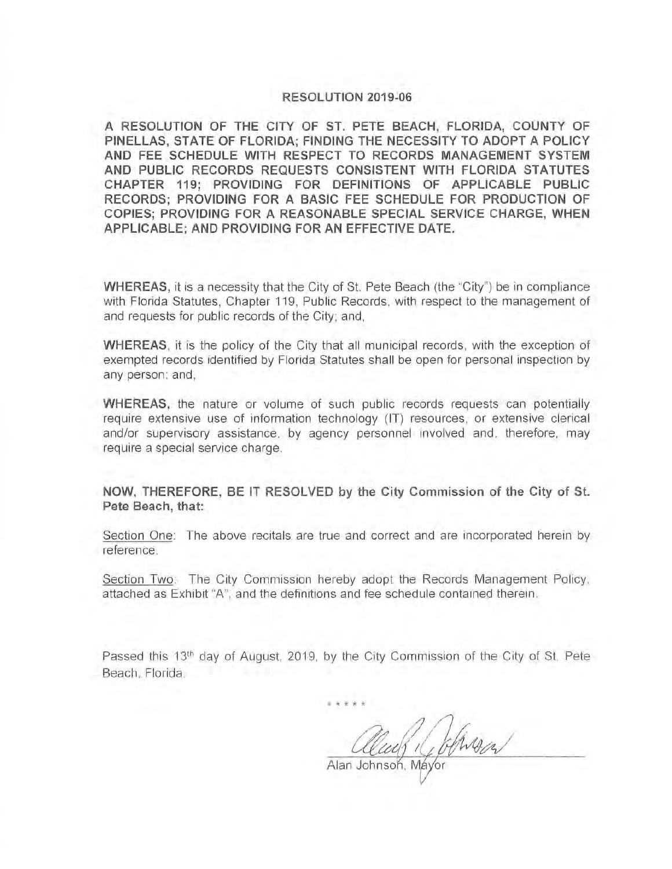#### **RESOLUTION 2019~06**

**A RESOLUTION OF THE CITY OF ST. PETE BEACH, FLORIDA, COUNTY OF PINELLAS, STATE OF FLORIDA; FINDING THE NECESSITY TO ADOPT A POLICY AND FEE SCHEDULE WITH RESPECT TO RECORDS MANAGEMENT SYSTEM AND PUBLIC RECORDS REQUESTS CONSISTENT WITH FLORIDA STATUTES CHAPTER 119; PROVIDING FOR DEFINITIONS OF APPLICABLE PUBLIC RECORDS; PROVIDING FOR A BASIC FEE SCHEDULE FOR PRODUCTION OF COPIES; PROVIDING FOR A REASONABLE SPECIAL SERVICE CHARGE, WHEN APPLICABLE; AND PROVIDING FOR AN EFFECTIVE DATE.** 

**WHEREAS,** it is a necessity that the City of St. Pete Beach (the "City") be in compliance with Florida Statutes, Chapter 119, Public Records, with respect to the management of and requests for public records of the City; and,

**WHEREAS,** it is the policy of the City that all municipal records, with the exception of exempted records identified by Florida Statutes shall be open for personal inspection by any person; and,

**WHEREAS,** the nature or volume of such public records requests can potentially require extensive use of information technology (IT) resources , or extensive clerical and/or supervisory assistance, by agency personnel involved and, therefore, may require a special service charge.

**NOW, THEREFORE, BE IT RESOLVED by the City Commission of the City of St. Pete Beach, that:** 

Section One: The above recitals are true and correct and are incorporated herein by reference.

Section Two: The City Commission hereby adopt the Records Management Policy, attached as Exhibit "A", and the definitions and fee schedule contained therein.

Passed this 13<sup>th</sup> day of August, 2019, by the City Commission of the City of St. Pete Beach, Florida.

\* \* \* \* \*

Alan Johnso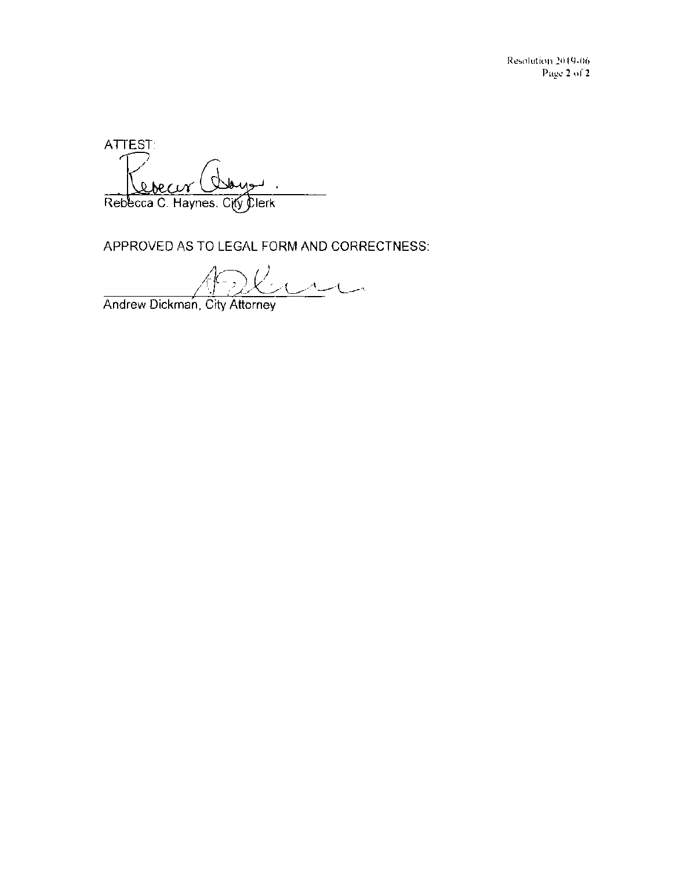Resolution 20 19-06 Page 2 of 2

ATTEST:  $0<sub>b</sub>$  $26$ Rebecca C. Haynes, City Clerk

APPROVED AS TO LEGAL FORM AND CORRECTNESS:

 $R_{\text{L}}$ 

Andrew Dickman, City Attorney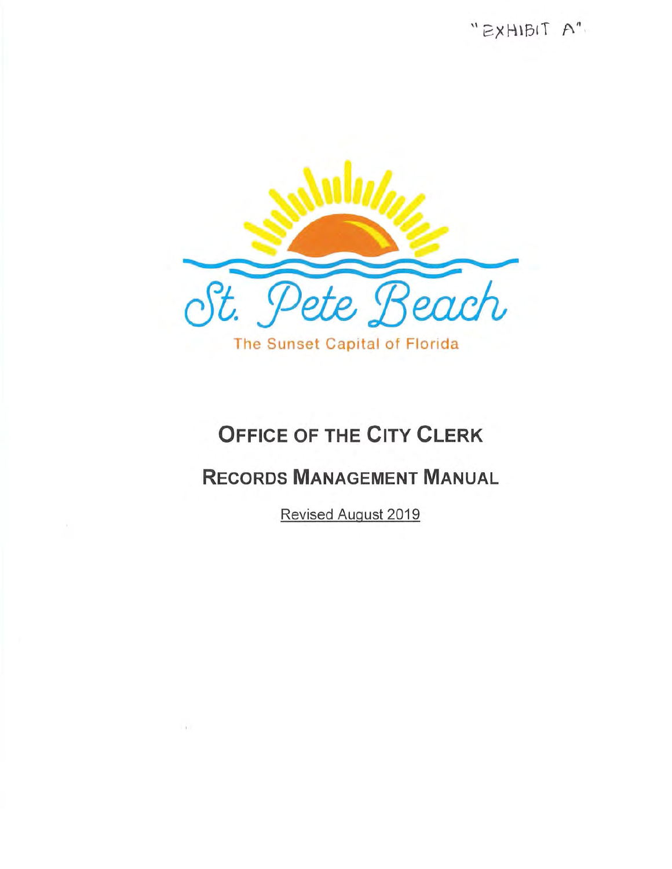"EXHIBIT A"



# **OFFICE OF THE CITY CLERK**

# **RECORDS MANAGEMENT MANUAL**

Revised August 2019

 $\sim 10$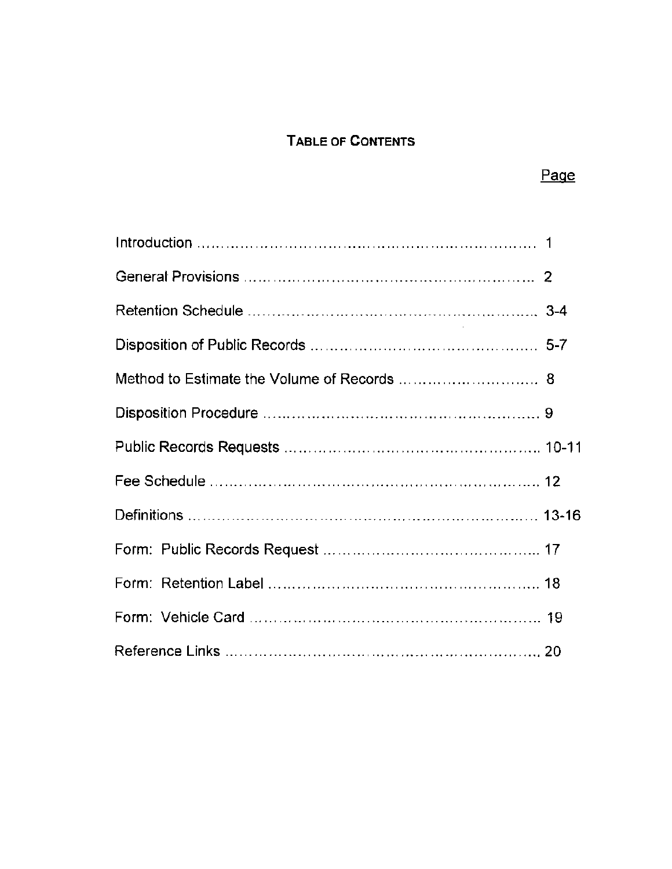# TABLE OF CONTENTS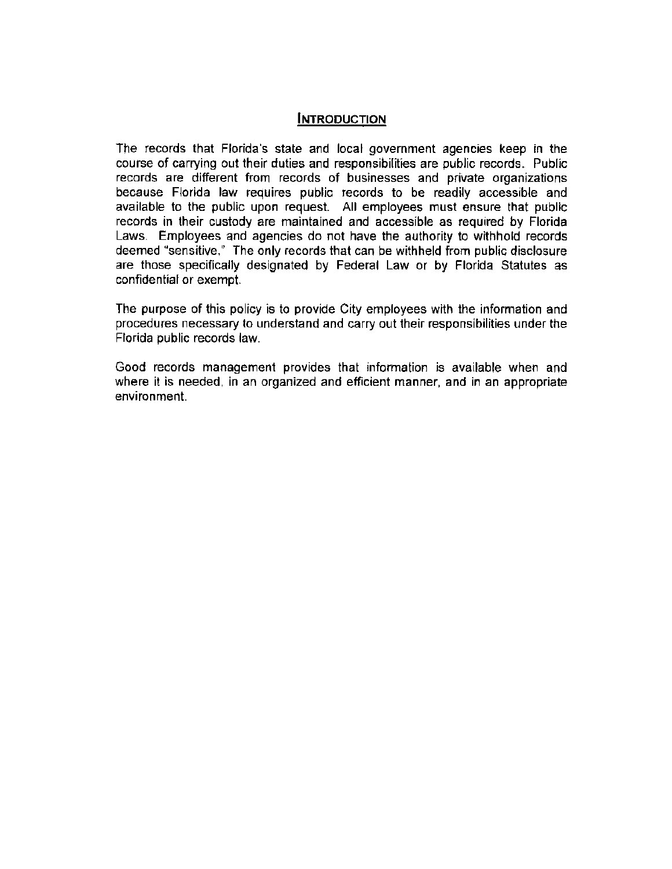#### **INTRODUCTION**

The records that Florida's state and local government agencies keep in the course of carrying out their duties and responsibilities are public records . Public records are different from records of businesses and private organizations because Florida law requires public records to be readily accessible and available to the public upon request. All employees must ensure that public records in their custody are maintained and accessible as required by Florida Laws. Employees and agencies do not have the authority to withhold records deemed "sensitive." The only records that can be withheld from public disclosure are those specifically designated by Federal Law or by Florida Statutes as confidential or exempt.

The purpose of this policy is to provide City employees with the information and procedures necessary to understand and carry out their responsibilities under the Florida public records law.

Good records management provides that information is available when and where it is needed, in an organized and efficient manner, and in an appropriate environment.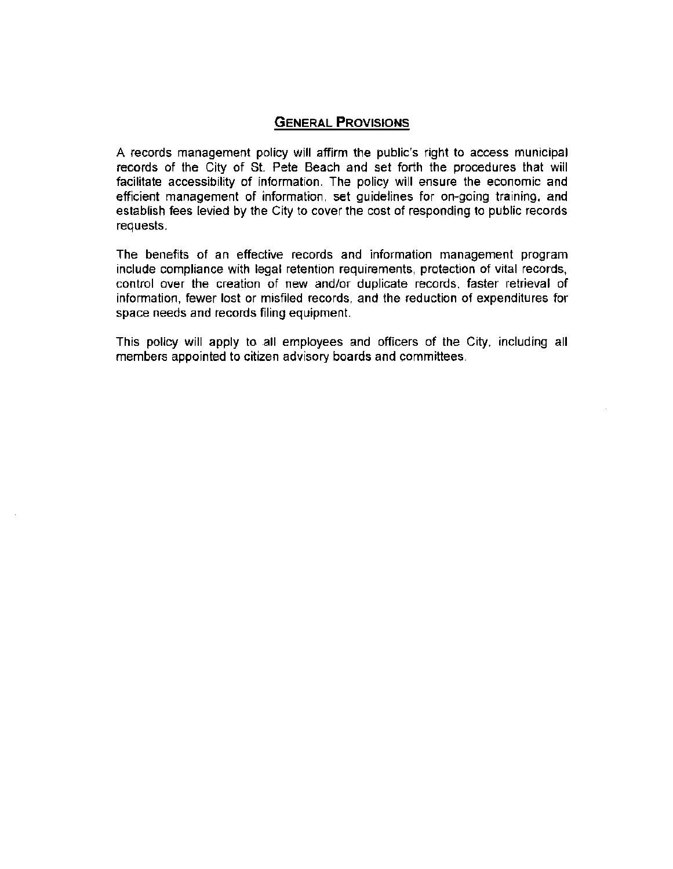#### **GENERAL PROVISIONS**

A records management policy will affirm the public's right to access municipal records of the City of St. Pete Beach and set forth the procedures that will facilitate accessibility of information. The policy will ensure the economic and efficient management of information , set guidelines for on-going training , and establish fees levied by the City to cover the cost of responding to public records requests.

The benefits of an effective records and information management program include compliance with legal retention requirements , protection of vital records , control over the creation of new and/or duplicate records, faster retrieval of information, fewer lost or misfiled records, and the reduction of expenditures for space needs and records filing equipment.

This policy will apply to all employees and officers of the City, including all members appointed to citizen advisory boards and committees.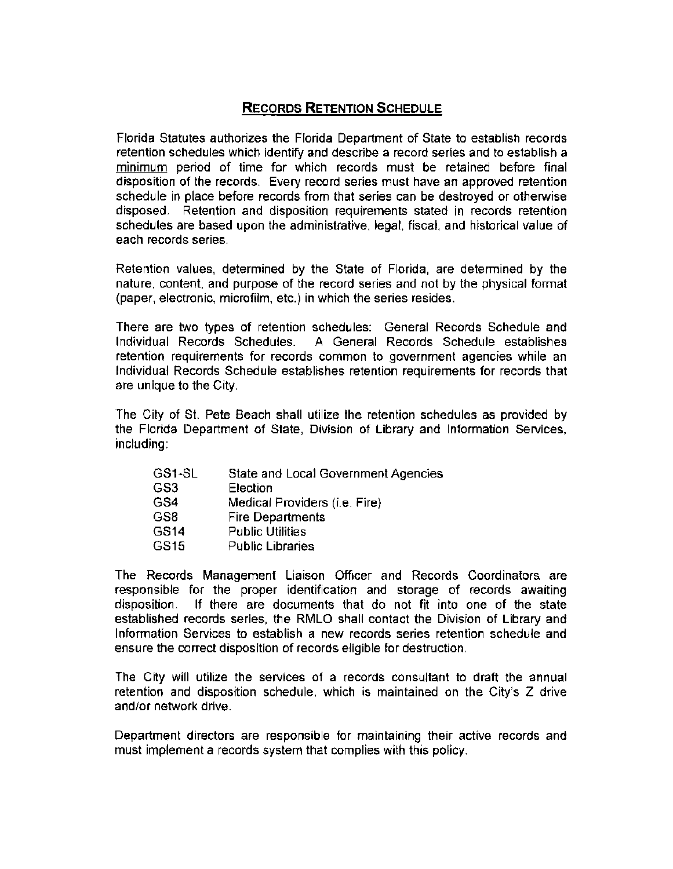# **RECORDS RETENTION SCHEDULE**

Florida Statutes authorizes the Florida Department of State to establish records retention schedules which identify and describe a record series and to establish a minimum period of time for which records must be retained before final disposition of the records. Every record series must have an approved retention schedule in place before records from that series can be destroyed or otherwise disposed. Retention and disposition requirements stated in records retention schedules are based upon the administrative, legal, fiscal, and historical value of each records series.

Retention values, determined by the State of Florida, are determined by the nature, content, and purpose of the record series and not by the physical format (paper, electronic, microfilm, etc.) in which the series resides .

There are two types of retention schedules: General Records Schedule and Individual Records Schedules. A General Records Schedule establishes retention requirements for records common to government agencies while an Individual Records Schedule establishes retention requirements for records that are unique to the City.

The City of St. Pete Beach shall utilize the retention schedules as provided by the Florida Department of State, Division of Library and Information Services, including:

| GS3<br>Election                      |  |
|--------------------------------------|--|
| GS4<br>Medical Providers (i.e. Fire) |  |
| GS8<br><b>Fire Departments</b>       |  |
| GS14<br><b>Public Utilities</b>      |  |
| GS15<br><b>Public Libraries</b>      |  |

The Records Management Liaison Officer and Records Coordinators are responsible for the proper identification and storage of records awaiting disposition. If there are documents that do not fit into one of the state established records series, the RMLO shall contact the Division of Library and Information Services to establish a new records series retention schedule and ensure the correct disposition of records eligible for destruction .

The City will utilize the services of a records consultant to draft the annual retention and disposition schedule, which is maintained on the City's Z drive and/or network drive.

Department directors are responsible for maintaining their active records and must implement a records system that complies with this policy.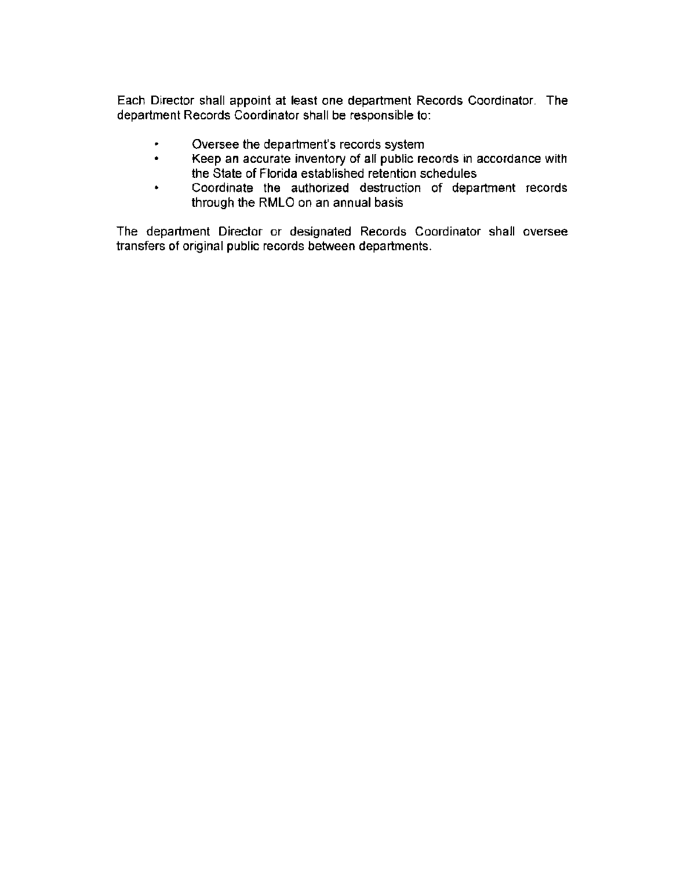Each Director shall appoint at least one department Records Coordinator. The department Records Coordinator shall be responsible to:

- Oversee the department's records system  $\bullet$
- $\bullet$ Keep an accurate inventory of all public records in accordance with the State of Florida established retention schedules
- Coordinate the authorized destruction of department records  $\bullet$ through the RMLO on an annual basis

The department Director or designated Records Coordinator shall oversee transfers of original public records between departments.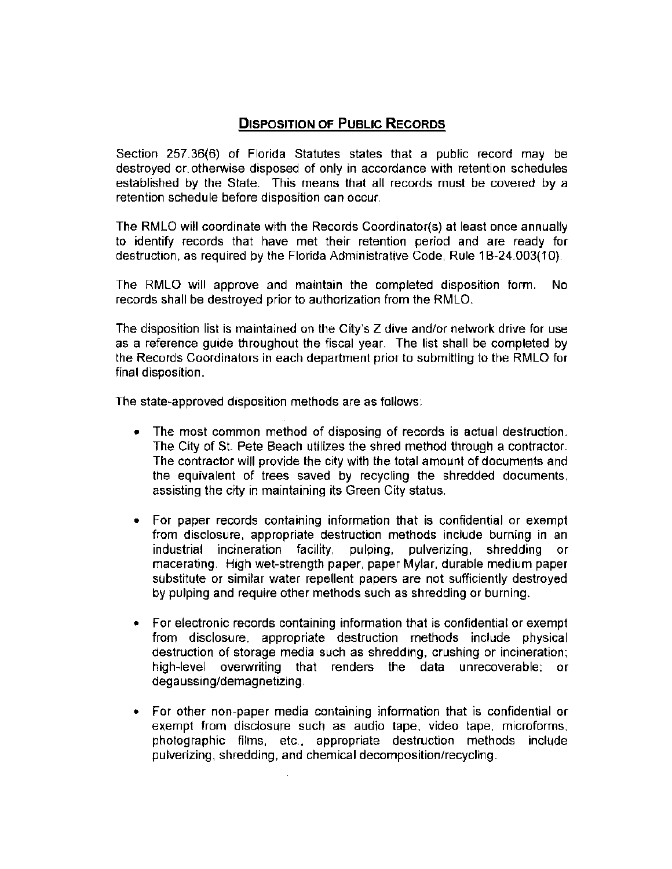# **DISPOSITION OF PUBLIC RECORDS**

Section 257 .36(6) of Florida Statutes states that a public record may be destroyed or, otherwise disposed of only in accordance with retention schedules established by the State. This means that all records must be covered by a retention schedule before disposition can occur.

The RMLO will coordinate with the Records Coordinator(s) at least once annually to identify records that have met their retention period and are ready for destruction , as required by the Florida Administrative Code, Rule 1B-24.003(10).

The RMLO will approve and maintain the completed disposition form. No records shall be destroyed prior to authorization from the RMLO.

The disposition list is maintained on the City's Z dive and/or network drive for use as a reference guide throughout the fiscal year. The list shall be completed by the Records Coordinators in each department prior to submitting to the RMLO for final disposition.

The state-approved disposition methods are as follows:

- The most common method of disposing of records is actual destruction. The City of St. Pete Beach utilizes the shred method through a contractor. The contractor will provide the city with the total amount of documents and the equivalent of trees saved by recycling the shredded documents, assisting the city in maintaining its Green City status.
- For paper records containing information that is confidential or exempt from disclosure, appropriate destruction methods include burning in an industrial incineration facility, pulping, pulverizing, shredding or macerating. High wet-strength paper, paper Mylar, durable medium paper substitute or similar water repellent papers are not sufficiently destroyed by pulping and require other methods such as shredding or burning .
- For electronic records containing information that is confidential or exempt from disclosure, appropriate destruction methods include physical destruction of storage media such as shredding, crushing or incineration; high-level overwriting that renders the data unrecoverable; or degaussing/demagnetizing.
- For other non-paper media containing information that is confidential or exempt from disclosure such as audio tape, video tape, microforms, photographic films, etc., appropriate destruction methods include pulverizing, shredding, and chemical decomposition/recycling.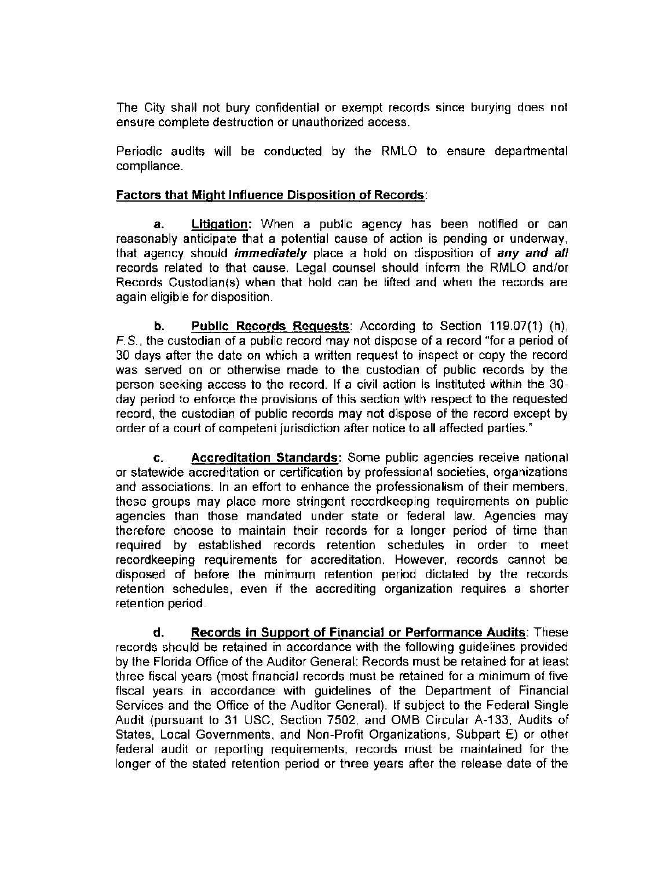The City shall not bury confidential or exempt records since burying does not ensure complete destruction or unauthorized access.

Periodic audits will be conducted by the RMLO to ensure departmental compliance.

#### **Factors that Might Influence Disposition of Records :**

**a. Litigation:** When a public agency has been notified or can reasonably anticipate that a potential cause of action is pending or underway, that agency should **immediately** place a hold on disposition of **any and all**  records related to that cause. Legal counsel should inform the RMLO and/or Records Custodian(s) when that hold can be lifted and when the records are again eligible for disposition.

**b.** Public Records Requests: According to Section 119.07(1) (h), F. S., the custodian of a public record may not dispose of a record "for a period of 30 days after the date on which a written request to inspect or copy the record was served on or otherwise made to the custodian of public records by the person seeking access to the record. If a civil action is instituted within the 30 day period to enforce the provisions of this section with respect to the requested record, the custodian of public records may not dispose of the record except by order of a court of competent jurisdiction after notice to all affected parties."

**c. Accreditation Standards:** Some public agencies receive national or statewide accreditation or certification by professional societies, organizations and associations. In an effort to enhance the professionalism of their members, these groups may place more stringent recordkeeping requirements on public agencies than those mandated under state or federal law. Agencies may therefore choose to maintain their records for a longer period of time than required by established records retention schedules in order to meet recordkeeping requirements for accreditation. However, records cannot be disposed of before the minimum retention period dictated by the records retention schedules, even if the accrediting organization requires a shorter retention period.

**d. Records in Support of Financial or Performance Audits :** These records should be retained in accordance with the following guidelines provided by the Florida Office of the Auditor General: Records must be retained for at least three fiscal years (most financial records must be retained for a minimum of five fiscal years in accordance with guidelines of the Department of Financial Services and the Office of the Auditor General). If subject to the Federal Single Audit (pursuant to 31 USC, Section 7502, and OMB Circular A-133, Audits of States, Local Governments, and Non-Profit Organizations, Subpart E) or other federal audit or reporting requirements, records must be maintained for the longer of the stated retention period or three years after the release date of the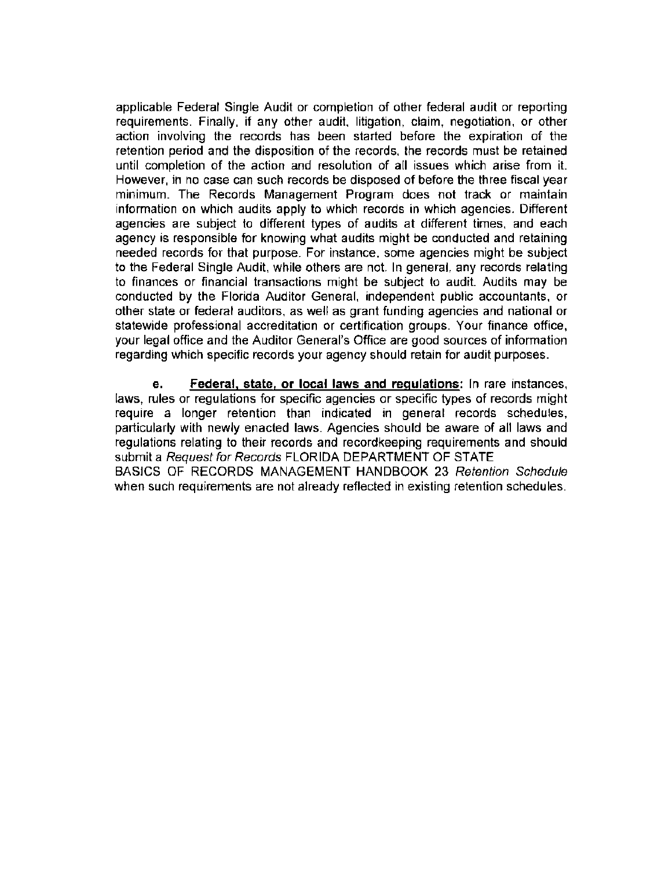applicable Federal Single Audit or completion of other federal audit or reporting requirements. Finally, if any other audit, litigation, claim, negotiation, or other action involving the records has been started before the expiration of the retention period and the disposition of the records , the records must be retained until completion of the action and resolution of all issues which arise from it. However, in no case can such records be disposed of before the three fiscal year minimum. The Records Management Program does not track or maintain information on which audits apply to which records in which agencies. Different agencies are subject to different types of audits at different times, and each agency is responsible for knowing what audits might be conducted and retaining needed records for that purpose. For instance, some agencies might be subject to the Federal Single Audit, while others are not. In general, any records relating to finances or financial transactions might be subject to audit. Audits may be conducted by the Florida Auditor General, independent public accountants, or other state or federal auditors, as well as grant funding agencies and national or statewide professional accreditation or certification groups. Your finance office, your legal office and the Auditor General's Office are good sources of information regarding which specific records your agency should retain for audit purposes.

**e. Federal, state, or local laws and regulations:** In rare instances, laws, rules or regulations for specific agencies or specific types of records might require a longer retention than indicated in general records schedules, particularly with newly enacted laws. Agencies should be aware of all laws and regulations relating to their records and recordkeeping requirements and should submit a Request for Records FLORIDA DEPARTMENT OF STATE BASICS OF RECORDS MANAGEMENT HANDBOOK 23 Retention Schedule when such requirements are not already reflected in existing retention schedules.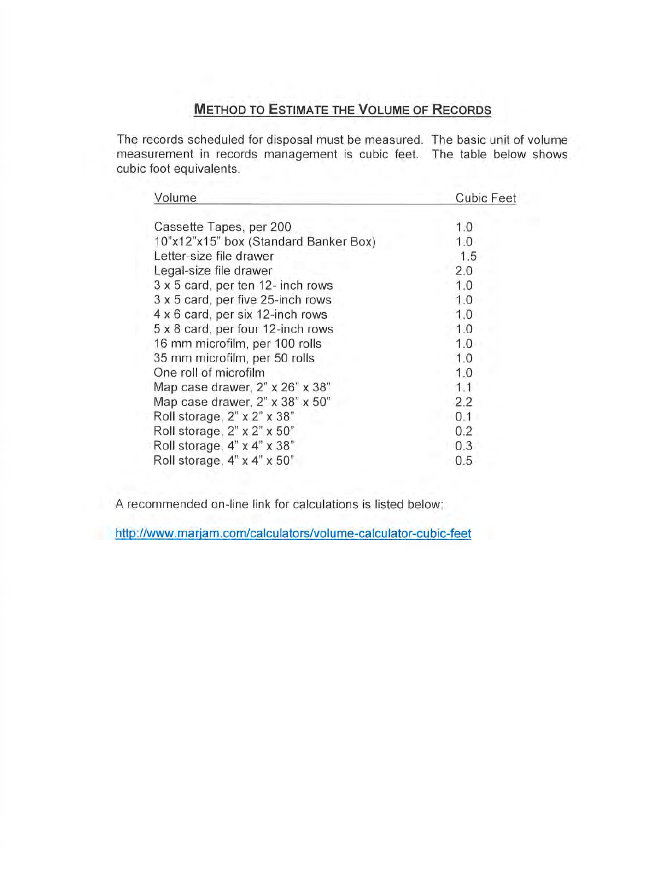# **METHOD TO ESTIMATE THE VOLUME OF RECORDS**

The records scheduled for disposal must be measured. The basic unit of volume measurement in records management is cubic feet. The table below shows cubic foot equivalents.

| Volume                                      | <b>Cubic Feet</b> |
|---------------------------------------------|-------------------|
| Cassette Tapes, per 200                     | 1.0               |
| 10"x12"x15" box (Standard Banker Box)       | 1.0               |
| Letter-size file drawer                     | 1.5               |
| Legal-size file drawer                      | 2.0               |
| 3 x 5 card, per ten 12- inch rows           | 1.0               |
| 3 x 5 card, per five 25-inch rows           | 1.0               |
| 4 x 6 card, per six 12-inch rows            | 1.0               |
| 5 x 8 card, per four 12-inch rows           | 1.0               |
| 16 mm microfilm, per 100 rolls              | 1.0               |
| 35 mm microfilm, per 50 rolls               | 1.0               |
| One roll of microfilm                       | 1.0               |
| Map case drawer, $2" \times 26" \times 38"$ | 1.1               |
| Map case drawer, 2" x 38" x 50"             | 2.2               |
| Roll storage, $2" \times 2" \times 38"$     | 0.1               |
| Roll storage, $2" \times 2" \times 50"$     | 0.2               |
| Roll storage, $4" \times 4" \times 38"$     | 0.3               |
| Roll storage, $4" \times 4" \times 50"$     | 0.5               |

A recommended on-line link for calculations is listed below:

**http://www.marjam.com/calculators/volume-calculator-cubic-feet**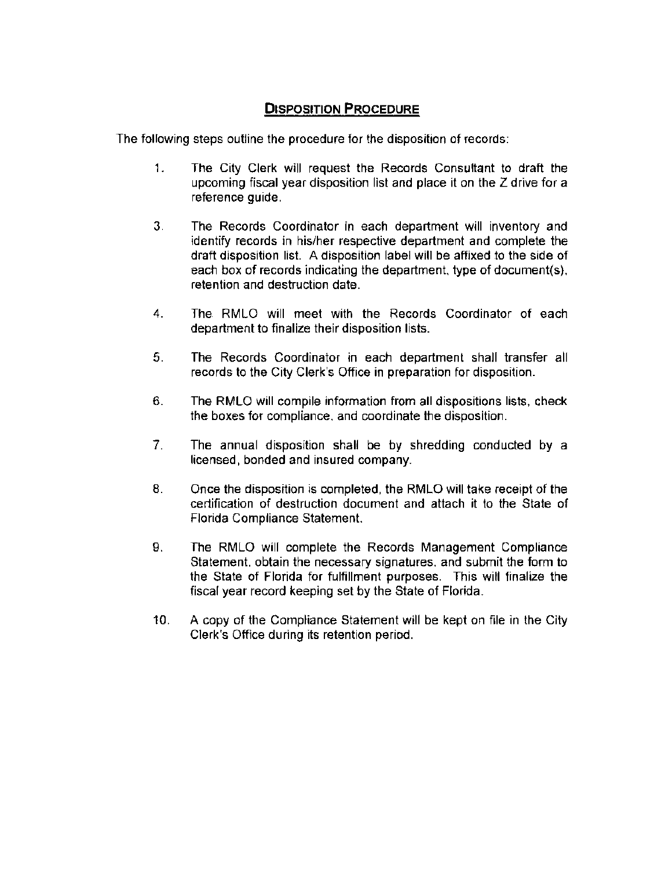# **DISPOSITION PROCEDURE**

The following steps outline the procedure for the disposition of records:

- 1. The City Clerk will request the Records Consultant to draft the upcoming fiscal year disposition list and place it on the Z drive for a reference guide.
- 3. The Records Coordinator in each department will inventory and identify records in his/her respective department and complete the draft disposition list. A disposition label will be affixed to the side of each box of records indicating the department, type of document(s), retention and destruction date.
- 4. The RMLO will meet with the Records Coordinator of each department to finalize their disposition lists.
- 5. The Records Coordinator in each department shall transfer all records to the City Clerk's Office in preparation for disposition.
- 6. The RMLO will compile information from all dispositions lists, check the boxes for compliance, and coordinate the disposition.
- 7. The annual disposition shall be by shredding conducted by a licensed, bonded and insured company.
- 8. Once the disposition is completed, the RMLO will take receipt of the certification of destruction document and attach it to the State of Florida Compliance Statement.
- 9. The RMLO will complete the Records Management Compliance Statement, obtain the necessary signatures, and submit the form to the State of Florida for fulfillment purposes. This will finalize the fiscal year record keeping set by the State of Florida.
- 10. A copy of the Compliance Statement will be kept on file in the City Clerk's Office during its retention period.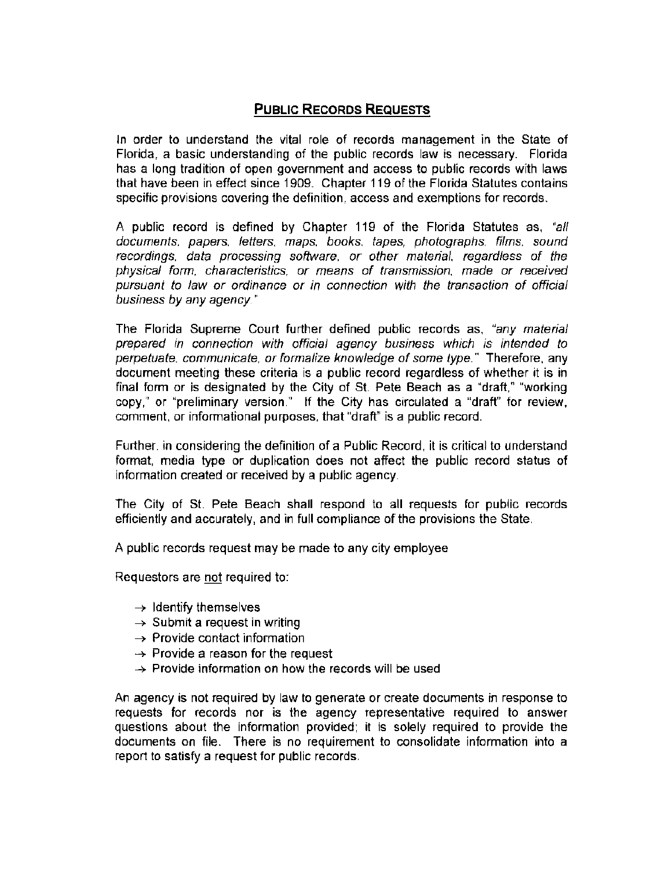## **PUBLIC RECORDS REQUESTS**

In order to understand the vital role of records management in the State of Florida, a basic understanding of the public records law is necessary. Florida has a long tradition of open government and access to public records with laws that have been in effect since 1909. Chapter 119 of the Florida Statutes contains specific provisions covering the definition, access and exemptions for records.

A public record is defined by Chapter 119 of the Florida Statutes as, "all documents, papers, letters, maps, books, tapes, photographs, films, sound recordings, data processing software, or other material, regardless of the physical form, characteristics, or means of transmission, made or received pursuant to law or ordinance or in connection with the transaction of official business by any agency. "

The Florida Supreme Court further defined public records as, "any material prepared in connection with official agency business which is intended to perpetuate, communicate, or formalize knowledge of some type." Therefore, any document meeting these criteria is a public record regardless of whether it is in final form or is designated by the City of St. Pete Beach as a "draft," "working copy," or "preliminary version." If the City has circulated a "draft" for review, comment, or informational purposes, that "draft" is a public record .

Further, in considering the definition of a Public Record , it is critical to understand format, media type or duplication does not affect the public record status of information created or received by a public agency.

The City of St. Pete Beach shall respond to all requests for public records efficiently and accurately, and in full compliance of the provisions the State.

A public records request may be made to any city employee

Requestors are not required to:

- $\rightarrow$  Identify themselves
- $\rightarrow$  Submit a request in writing
- $\rightarrow$  Provide contact information
- $\rightarrow$  Provide a reason for the request
- $\rightarrow$  Provide information on how the records will be used

An agency is not required by law to generate or create documents in response to requests for records nor is the agency representative required to answer questions about the information provided; it is solely required to provide the documents on file. There is no requirement to consolidate information into a report to satisfy a request for public records .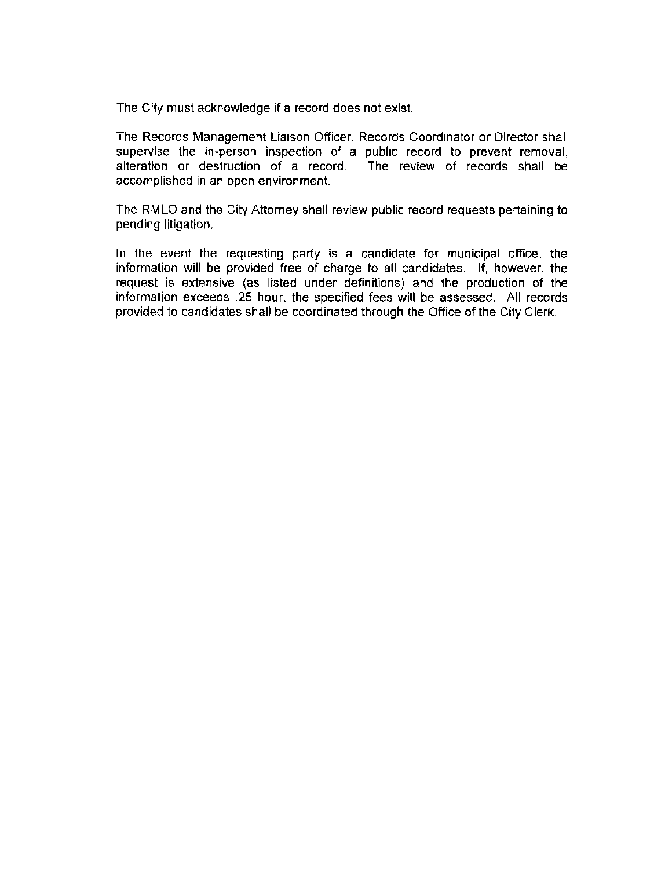The City must acknowledge if a record does not exist.

The Records Management Liaison Officer, Records Coordinator or Director shall supervise the in-person inspection of a public record to prevent removal, alteration or destruction of a record . The review of records shall be accomplished in an open environment.

The RMLO and the City Attorney shall review public record requests pertaining to pending litigation.

In the event the requesting party is a candidate for municipal office, the information will be provided free of charge to all candidates. If, however, the request is extensive (as listed under definitions) and the production of the information exceeds .25 hour, the specified fees will be assessed . All records provided to candidates shall be coordinated through the Office of the City Clerk.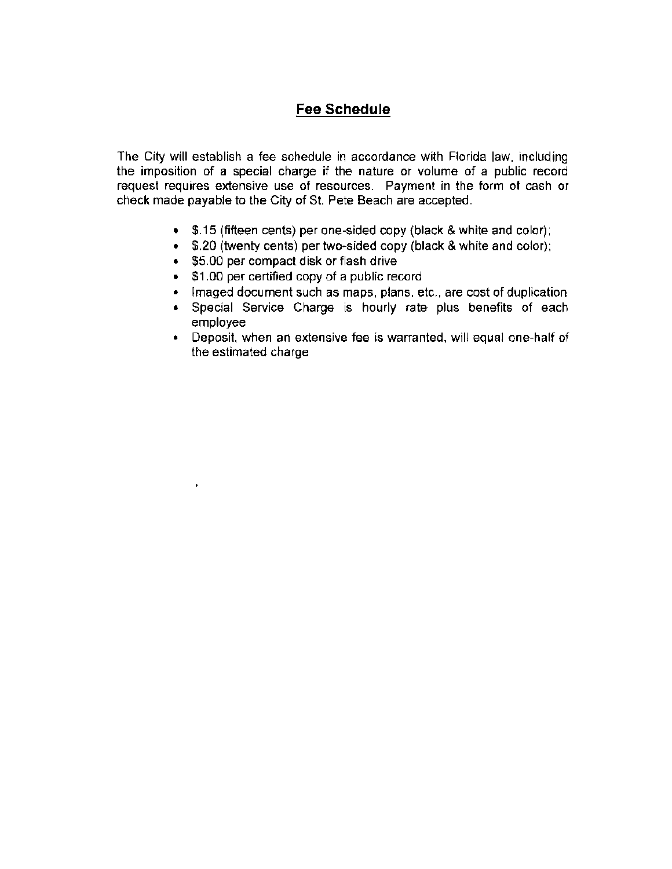# **Fee Schedule**

The City will establish a fee schedule in accordance with Florida law, including the imposition of a special charge if the nature or volume of a public record request requires extensive use of resources. Payment in the form of cash or check made payable to the City of St. Pete Beach are accepted.

- \$.15 (fifteen cents) per one-sided copy (black & white and color);
- \$.20 (twenty cents) per two-sided copy (black & white and color);
- \$5.00 per compact disk or flash drive

 $\bullet$ 

- \$1.00 per certified copy of a public record
- Imaged document such as maps, plans, etc., are cost of duplication
- Special Service Charge is hourly rate plus benefits of each employee
- Deposit, when an extensive fee is warranted, will equal one-half of the estimated charge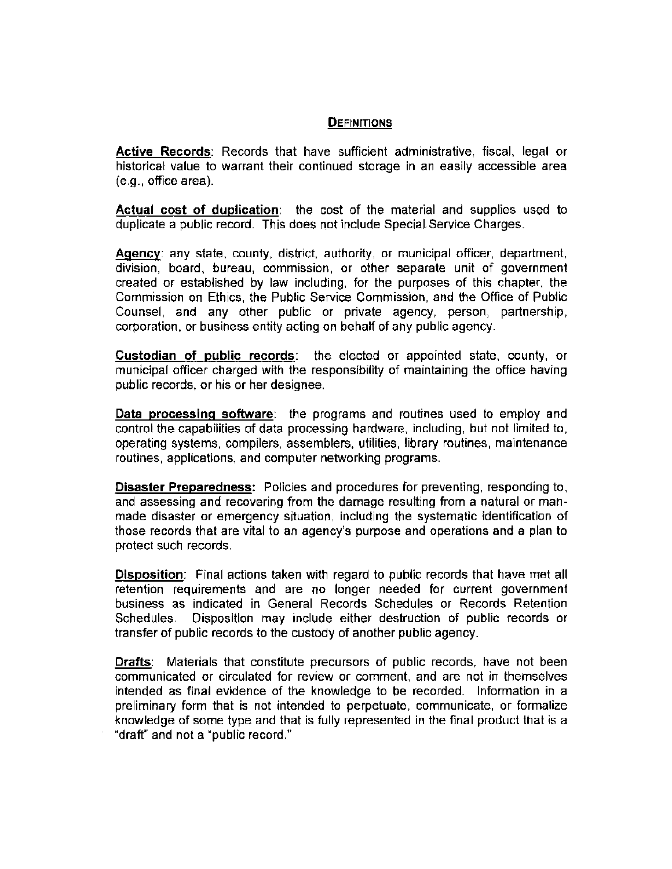#### **DEFINITIONS**

**Active Records:** Records that have sufficient administrative, fiscal, legal or historical value to warrant their continued storage in an easily accessible area (e.g. , office area).

**Actual cost of duplication:** the cost of the material and supplies used to duplicate a public record. This does not include Special Service Charges.

**Agency:** any state, county, district, authority, or municipal officer, department, division, board, bureau, commission, or other separate unit of government created or established by law including, for the purposes of this chapter, the Commission on Ethics, the Public Service Commission, and the Office of Public Counsel, and any other public or private agency, person, partnership, corporation, or business entity acting on behalf of any public agency.

**Custodian of public records:** the elected or appointed state, county, or municipal officer charged with the responsibility of maintaining the office having public records, or his or her designee.

**Data processing software:** the programs and routines used to employ and control the capabilities of data processing hardware, including, but not limited to, operating systems, compilers, assemblers, utilities, library routines , maintenance routines, applications, and computer networking programs.

**Disaster Preparedness:** Policies and procedures for preventing, responding to, and assessing and recovering from the damage resulting from a natural or manmade disaster or emergency situation, including the systematic identification of those records that are vital to an agency's purpose and operations and a plan to protect such records.

**Disposition:** Final actions taken with regard to public records that have met all retention requirements and are no longer needed for current government business as indicated in General Records Schedules or Records Retention Schedules. Disposition may include either destruction of public records or transfer of public records to the custody of another public agency.

**Drafts:** Materials that constitute precursors of public records, have not been communicated or circulated for review or comment, and are not in themselves intended as final evidence of the knowledge to be recorded. Information in a preliminary form that is not intended to perpetuate, communicate, or formalize knowledge of some type and that is fully represented in the final product that is a "draft" and not a "public record."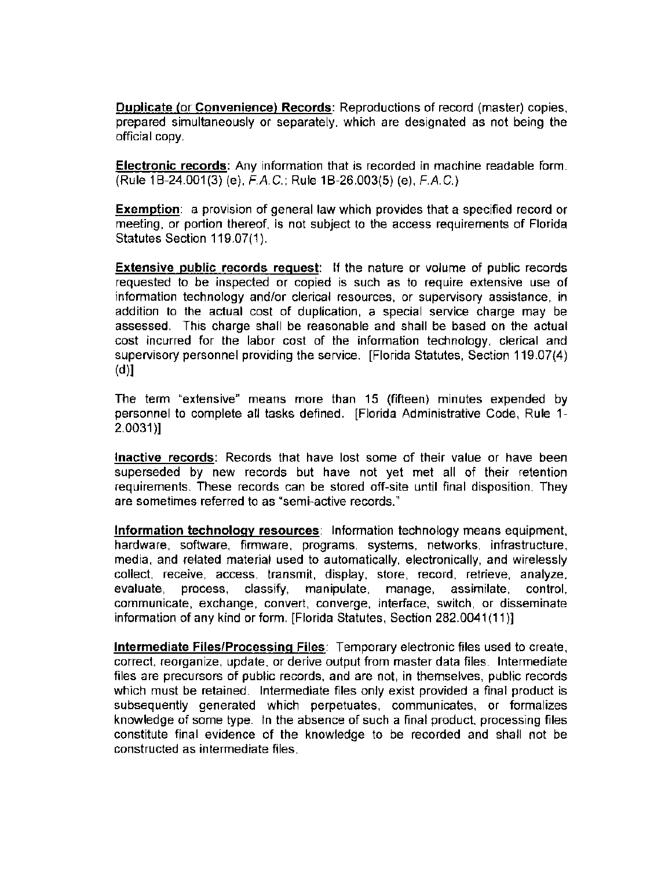**Duplicate** (or **Convenience) Records:** Reproductions of record (master) copies, prepared simultaneously or separately, which are designated as not being the official copy.

**Electronic records:** Any information that is recorded in machine readable form. (Rule 1 B-24.001 (3) (e), F.A. C. ; Rule 1 B-26.003(5) (e), F.A. C.)

**Exemption:** a provision of general law which provides that a specified record or meeting, or portion thereof, is not subject to the access requirements of Florida Statutes Section 119.07(1).

**Extensive public records request:** If the nature or volume of public records requested to be inspected or copied is such as to require extensive use of information technology and/or clerical resources, or supervisory assistance, in addition to the actual cost of duplication, a special service charge may be assessed. This charge shall be reasonable and shall be based on the actual cost incurred for the labor cost of the information technology, clerical and supervisory personnel providing the service. [Florida Statutes, Section 119.07(4) (d)]

The term "extensive" means more than 15 (fifteen) minutes expended by personnel to complete all tasks defined. [Florida Administrative Code, Rule 1- $2.0031$ ]

**Inactive records:** Records that have lost some of their value or have been superseded by new records but have not yet met all of their retention requirements. These records can be stored off-site until final disposition. They are sometimes referred to as "semi-active records. "

**Information technology resources:** Information technology means equipment, hardware, software, firmware, programs, systems, networks, infrastructure, media, and related material used to automatically, electronically, and wirelessly collect, receive, access, transmit, display, store, record, retrieve, analyze, evaluate, process, classify, manipulate, manage, assimilate, control, communicate, exchange, convert, converge, interface, switch, or disseminate information of any kind or form. [Florida Statutes, Section 282.0041(11)]

**Intermediate Files/Processing Files:** Temporary electronic files used to create, correct, reorganize, update, or derive output from master data files . Intermediate files are precursors of public records, and are not, in themselves, public records which must be retained. Intermediate files only exist provided a final product is subsequently generated which perpetuates, communicates, or formalizes knowledge of some type. In the absence of such a final product, processing files constitute final evidence of the knowledge to be recorded and shall not be constructed as intermediate files .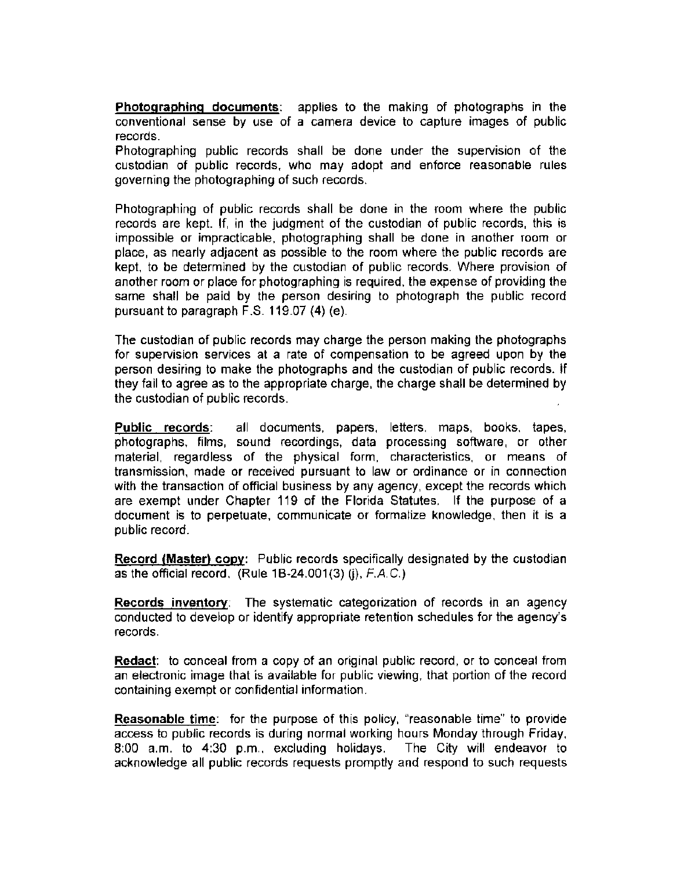**Photographing documents:** applies to the making of photographs in the conventional sense by use of a camera device to capture images of public records.

Photographing public records shall be done under the supervision of the custodian of public records, who may adopt and enforce reasonable rules governing the photographing of such records.

Photographing of public records shall be done in the room where the public records are kept. If, in the judgment of the custodian of public records , this is impossible or impracticable, photographing shall be done in another room or place, as nearly adjacent as possible to the room where the public records are kept, to be determined by the custodian of public records . Where provision of another room or place for photographing is required , the expense of providing the same shall be paid by the person desiring to photograph the public record pursuant to paragraph F.S. 119.07 (4) (e).

The custodian of public records may charge the person making the photographs for supervision services at a rate of compensation to be agreed upon by the person desiring to make the photographs and the custodian of public records . If they fail to agree as to the appropriate charge, the charge shall be determined by the custodian of public records.

**Public records:** all documents, papers, letters, maps, books, tapes, photographs, films, sound recordings, data processing software, or other material, regardless of the physical form, characteristics, or means of transmission , made or received pursuant to law or ordinance or in connection with the transaction of official business by any agency, except the records which are exempt under Chapter 119 of the Florida Statutes. If the purpose of a document is to perpetuate, communicate or formalize knowledge, then it is a public record.

**Record (Master) copy:** Public records specifically designated by the custodian as the official record.  $(Rule 1B-24.001(3) (i), F.A.C.)$ 

**Records inventory:** The systematic categorization of records in an agency conducted to develop or identify appropriate retention schedules for the agency's records.

**Redact:** to conceal from a copy of an original public record, or to conceal from an electronic image that is available for public viewing , that portion of the record containing exempt or confidential information.

**Reasonable time:** for the purpose of this policy, "reasonable time" to provide access to public records is during normal working hours Monday through Friday, 8:00 a.m. to 4:30 p.m., excluding holidays. The City will endeavor to acknowledge all public records requests promptly and respond to such requests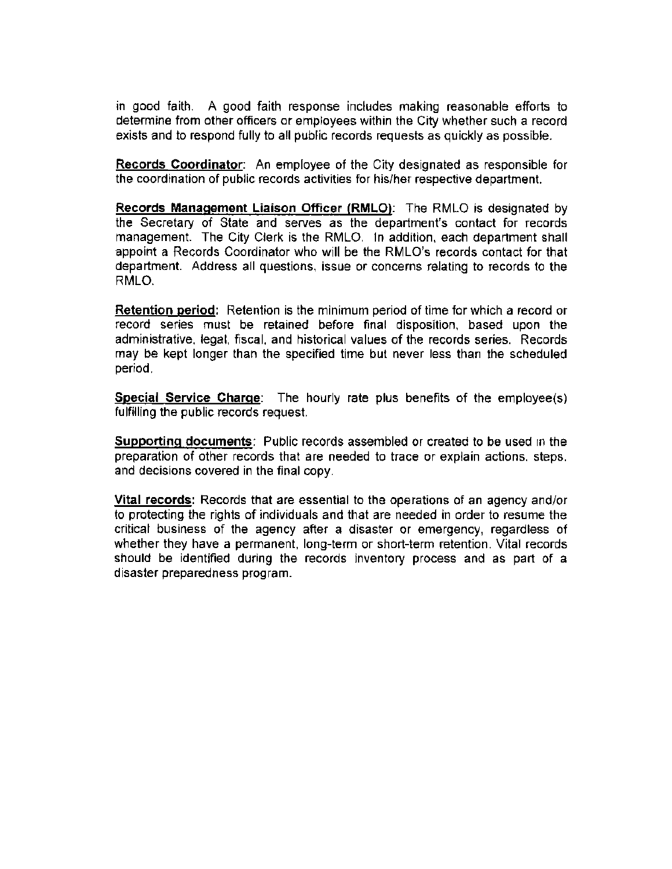in good faith . A good faith response includes making reasonable efforts to determine from other officers or employees within the City whether such a record exists and to respond fully to all public records requests as quickly as possible.

**Records Coordinator:** An employee of the City designated as responsible for the coordination of public records activities for his/her respective department.

**Records Management Liaison Officer (RMLO) :** The RMLO is designated by the Secretary of State and serves as the department's contact for records management. The City Clerk is the RMLO. In addition, each department shall appoint a Records Coordinator who will be the RMLO's records contact for that department. Address all questions, issue or concerns relating to records to the RMLO.

**Retention period:** Retention is the minimum period of time for which a record or record series must be retained before final disposition, based upon the administrative, legal, fiscal, and historical values of the records series. Records may be kept longer than the specified time but never less than the scheduled period.

**Special Service Charge:** The hourly rate plus benefits of the employee(s) fulfilling the public records request.

**Supporting documents:** Public records assembled or created to be used in the preparation of other records that are needed to trace or explain actions, steps, and decisions covered in the final copy.

**Vital records:** Records that are essential to the operations of an agency and/or to protecting the rights of individuals and that are needed in order to resume the critical business of the agency after a disaster or emergency, regardless of whether they have a permanent, long-term or short-term retention. Vital records should be identified during the records inventory process and as part of a disaster preparedness program.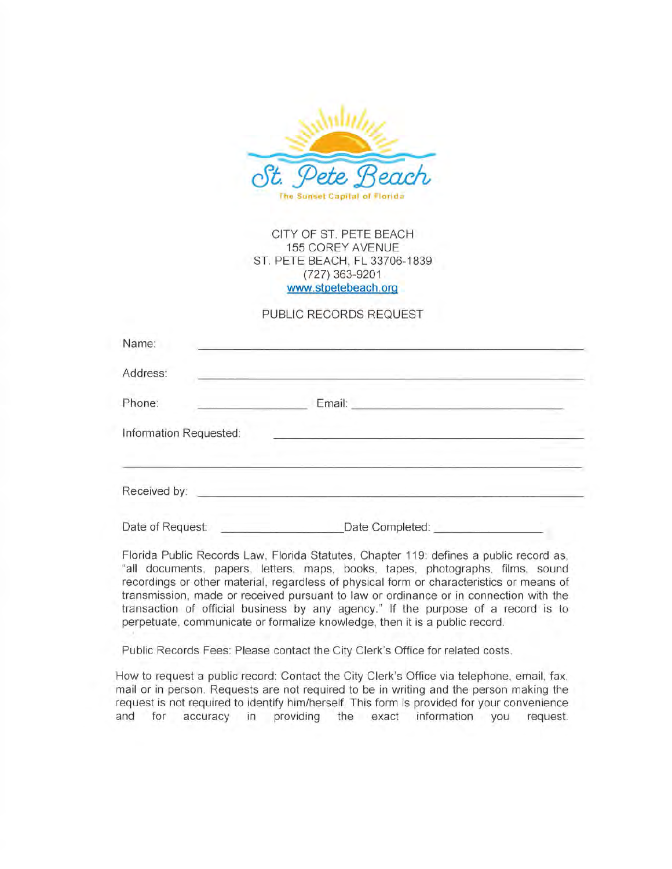

CITY OF ST. PETE BEACH 155 COREY AVENUE ST. PETE BEACH, FL 33706-1839 (727) 363-9201 www. stpetebeach. org

#### PUBLIC RECORDS REQUEST

| Name:                  |                                                                                          |  |
|------------------------|------------------------------------------------------------------------------------------|--|
| Address:               |                                                                                          |  |
| Phone:                 | Email:<br>and the control of the control of the control of the control of the control of |  |
| Information Requested: |                                                                                          |  |
| Received by:           |                                                                                          |  |
| Date of Request:       | Date Completed:                                                                          |  |

Florida Public Records Law, Florida Statutes, Chapter 119: defines a public record as, "all documents, papers, letters, maps, books, tapes, photographs, films, sound recordings or other material, regardless of physical form or characteristics or means of transmission , made or received pursuant to law or ordinance or in connection with the transaction of official business by any agency." If the purpose of a record is to perpetuate, communicate or formalize knowledge, then it is a public record .

Public Records Fees: Please contact the City Clerk's Office for related costs.

How to request a public record: Contact the City Clerk's Office via telephone, email, fax, mail or in person. Requests are not required to be in writing and the person making the request is not required to identify him/herself. This form is provided for your convenience and for accuracy in providing the exact information you request.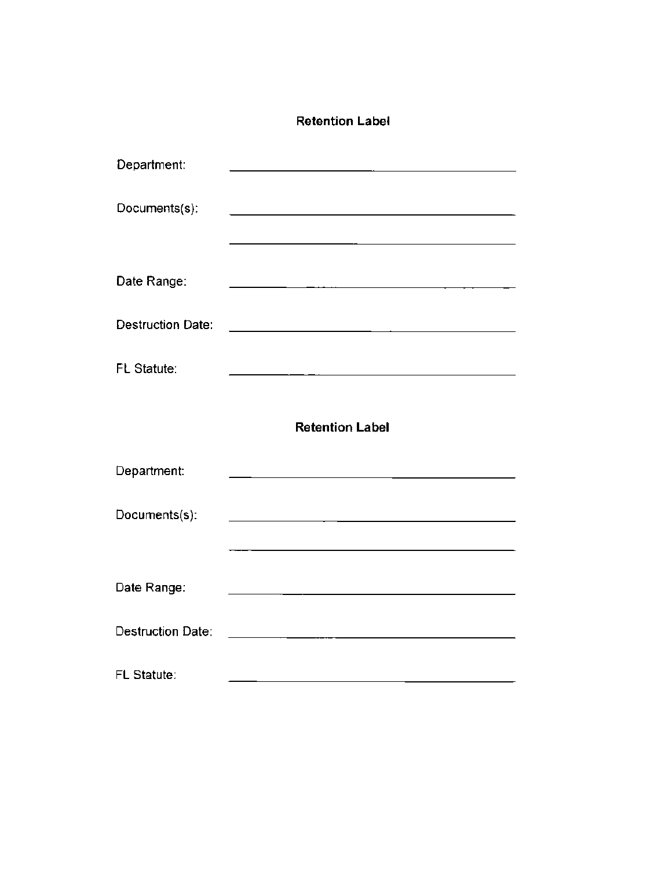#### **Retention Label**

| Department:              |                                                                                           |
|--------------------------|-------------------------------------------------------------------------------------------|
| Documents(s):            | the control of the control of the control of the control of the control of the control of |
|                          |                                                                                           |
| Date Range:              | <u> 1980 - Johann John Stone, markin fizikar (h. 1980).</u>                               |
| <b>Destruction Date:</b> |                                                                                           |
| FL Statute:              | <u> 1989 - Jan James Jan Salaman (</u>                                                    |
|                          | <b>Retention Label</b>                                                                    |
| Department:              | <u> 1980 - Johann Barbara, martin amerikan basal da</u>                                   |
| Documents(s):            |                                                                                           |
|                          |                                                                                           |
| Date Range:              |                                                                                           |
|                          |                                                                                           |
| <b>Destruction Date:</b> | the control of the control of the control of the control of the control of the control of |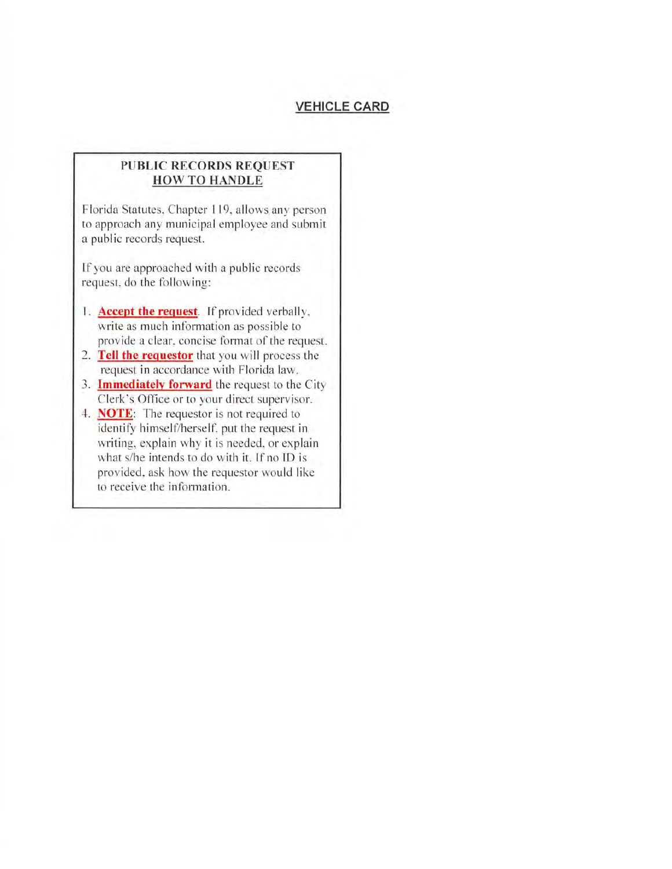#### **VEHICLE CARD**

#### **PUBLIC RECORDS REQUEST HOW TO HANDLE**

Florida Statutes, Chapter l 19, allows any person to approach any municipal employee and submit a public records request.

ff you are approached with a public records request, do the following:

- 1. **Accept the request**. If provided verbally, write as much information as possible to provide a clear, concise fonnat of the request.
- 2. **Tell the requestor** that you will process the request in accordance with Florida law.
- 3. **Immediately forward** the request to the City Clerk's Office or to your direct supervisor.
- 4. **NOTE**: The requestor is not required to identify himself/herself, put the request in writing, explain why it is needed, or explain what s/he intends to do with it. If no ID is provided, ask how the requestor would like to receive the information.